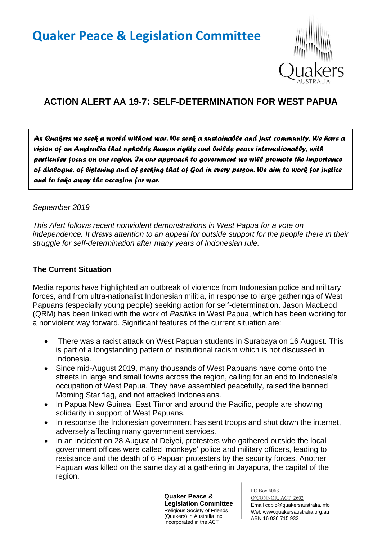# **Quaker Peace & Legislation Committee**



## **ACTION ALERT AA 19-7: SELF-DETERMINATION FOR WEST PAPUA**

*As Quakers we seek a world without war. We seek a sustainable and just community. We have a vision of an Australia that upholds human rights and builds peace internationally, with particular focus on our region. In our approach to government we will promote the importance of dialogue, of listening and of seeking that of God in every person. We aim to work for justice and to take away the occasion for war.* 

#### *September 2019*

*This Alert follows recent nonviolent demonstrations in West Papua for a vote on independence. It draws attention to an appeal for outside support for the people there in their struggle for self-determination after many years of Indonesian rule.*

#### **The Current Situation**

Media reports have highlighted an outbreak of violence from Indonesian police and military forces, and from ultra-nationalist Indonesian militia, in response to large gatherings of West Papuans (especially young people) seeking action for self-determination. Jason MacLeod (QRM) has been linked with the work of *Pasifika* in West Papua, which has been working for a nonviolent way forward. Significant features of the current situation are:

- There was a racist attack on West Papuan students in Surabaya on 16 August. This is part of a longstanding pattern of institutional racism which is not discussed in Indonesia.
- Since mid-August 2019, many thousands of West Papuans have come onto the streets in large and small towns across the region, calling for an end to Indonesia's occupation of West Papua. They have assembled peacefully, raised the banned Morning Star flag, and not attacked Indonesians.
- In Papua New Guinea, East Timor and around the Pacific, people are showing solidarity in support of West Papuans.
- In response the Indonesian government has sent troops and shut down the internet, adversely affecting many government services.
- In an incident on 28 August at Deiyei, protesters who gathered outside the local government offices were called 'monkeys' police and military officers, leading to resistance and the death of 6 Papuan protesters by the security forces. Another Papuan was killed on the same day at a gathering in Jayapura, the capital of the region.

**Quaker Peace & Legislation Committee** Religious Society of Friends (Quakers) in Australia Inc. Incorporated in the ACT

PO Box 6063 O'CONNOR, ACT 2602 Email cqplc@quakersaustralia.info Web www.quakersaustralia.org.au ABN 16 036 715 933